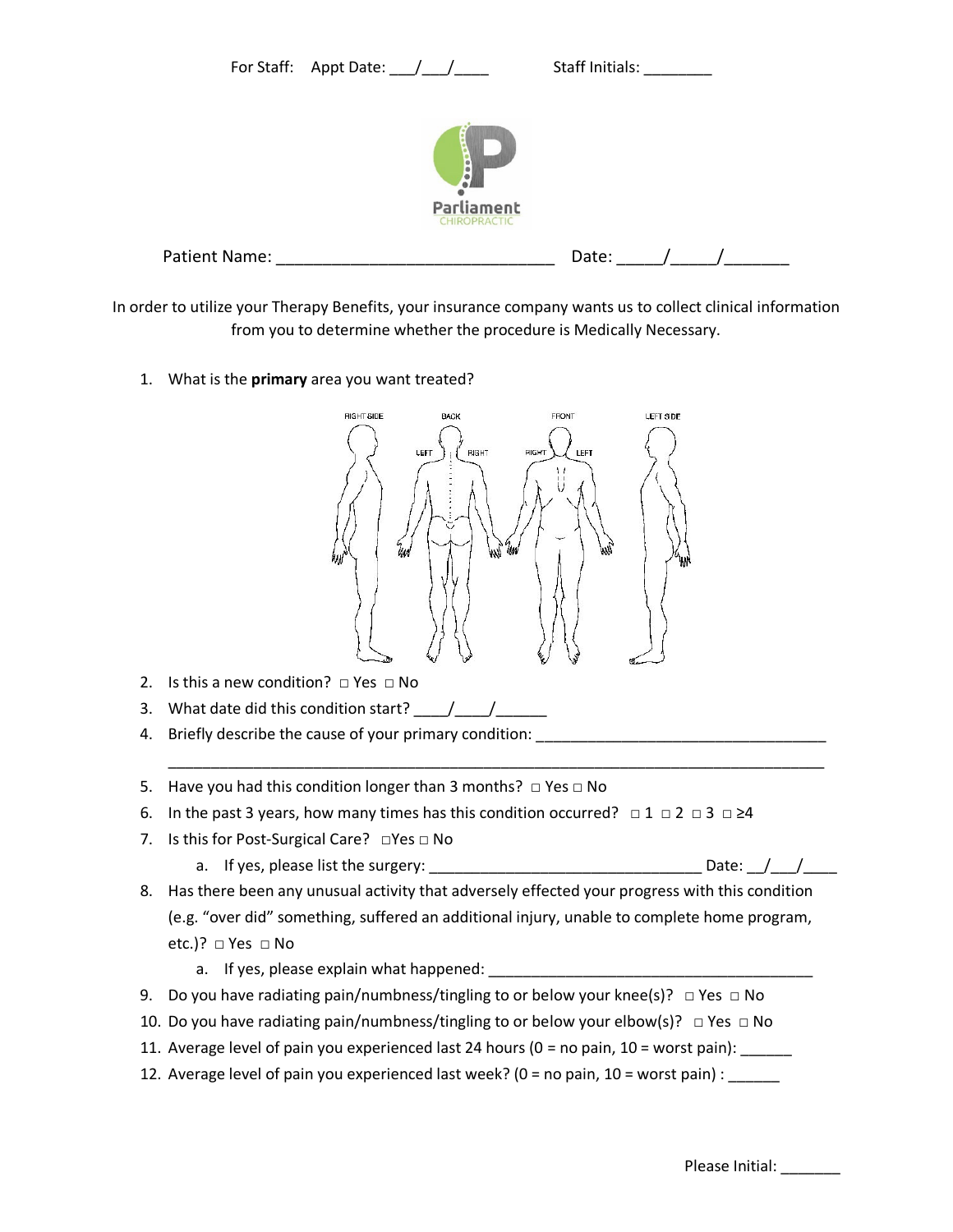

| <b>Patient Name:</b> | LL |  |
|----------------------|----|--|
|                      |    |  |

In order to utilize your Therapy Benefits, your insurance company wants us to collect clinical information from you to determine whether the procedure is Medically Necessary.

1. What is the **primary** area you want treated?



- 2. Is this a new condition?  $\Box$  Yes  $\Box$  No
- 3. What date did this condition start?  $\frac{1}{\sqrt{2}}$
- 4. Briefly describe the cause of your primary condition:
- 5. Have you had this condition longer than 3 months?  $\Box$  Yes  $\Box$  No
- 6. In the past 3 years, how many times has this condition occurred?  $\Box$  1  $\Box$  2  $\Box$  2  $\Box$  24
- 7. Is this for Post-Surgical Care? □Yes □ No
	- a. If yes, please list the surgery:  $\Box$  Date:  $\Box$

\_\_\_\_\_\_\_\_\_\_\_\_\_\_\_\_\_\_\_\_\_\_\_\_\_\_\_\_\_\_\_\_\_\_\_\_\_\_\_\_\_\_\_\_\_\_\_\_\_\_\_\_\_\_\_\_\_\_\_\_\_\_\_\_\_\_\_\_\_\_\_\_\_\_\_\_\_

- 8. Has there been any unusual activity that adversely effected your progress with this condition (e.g. "over did" something, suffered an additional injury, unable to complete home program, etc.)? □ Yes □ No
	- a. If yes, please explain what happened: \_\_\_\_\_\_\_\_
- 9. Do you have radiating pain/numbness/tingling to or below your knee(s)?  $\Box$  Yes  $\Box$  No
- 10. Do you have radiating pain/numbness/tingling to or below your elbow(s)?  $\Box$  Yes  $\Box$  No
- 11. Average level of pain you experienced last 24 hours (0 = no pain, 10 = worst pain):
- 12. Average level of pain you experienced last week? ( $0 =$  no pain,  $10 =$  worst pain) :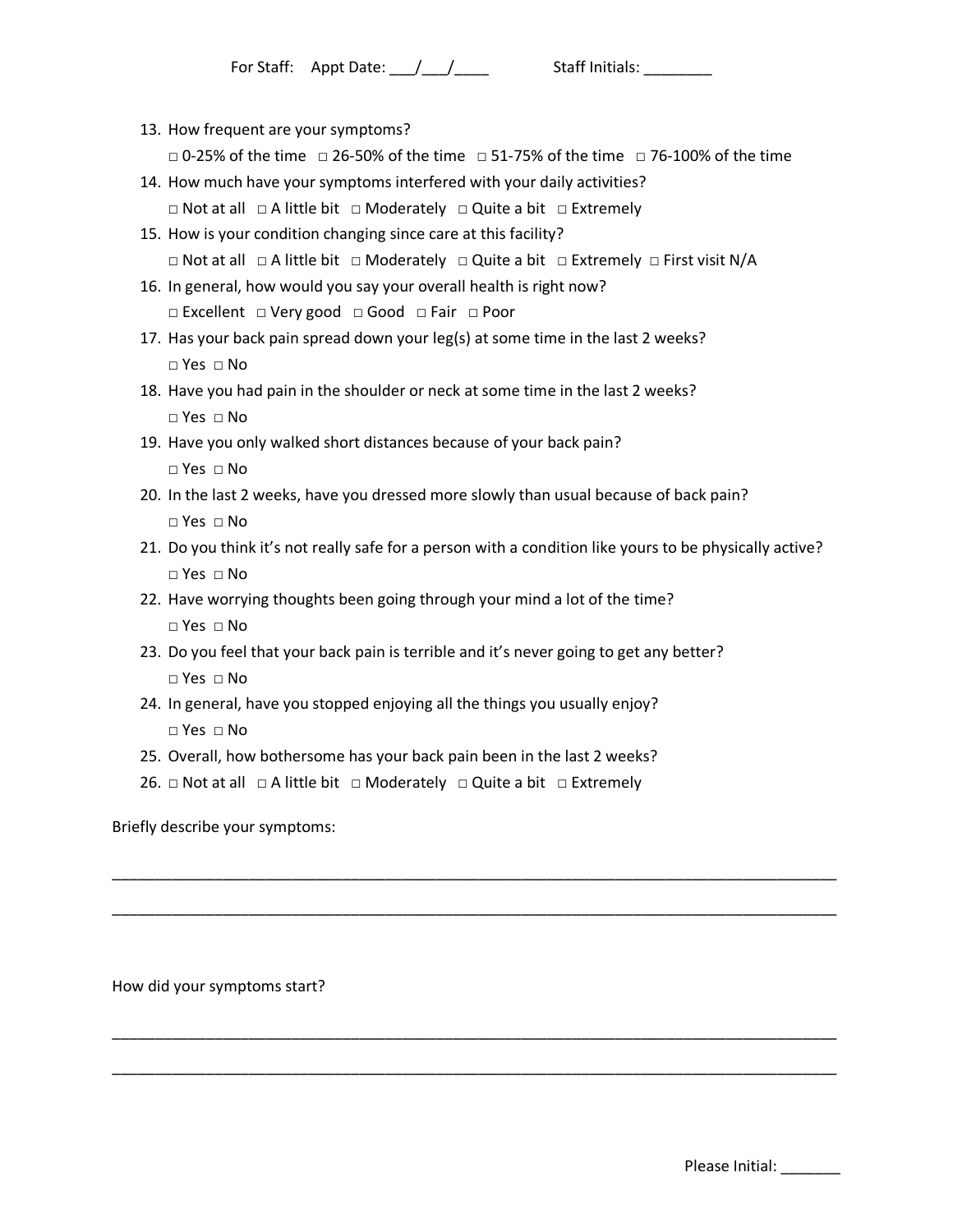13. How frequent are your symptoms?

□ 0-25% of the time □ 26-50% of the time □ 51-75% of the time □ 76-100% of the time

- 14. How much have your symptoms interfered with your daily activities? □ Not at all □ A little bit □ Moderately □ Quite a bit □ Extremely
- 15. How is your condition changing since care at this facility? □ Not at all □ A little bit □ Moderately □ Quite a bit □ Extremely □ First visit N/A
- 16. In general, how would you say your overall health is right now? □ Excellent □ Very good □ Good □ Fair □ Poor
- 17. Has your back pain spread down your leg(s) at some time in the last 2 weeks? □ Yes □ No
- 18. Have you had pain in the shoulder or neck at some time in the last 2 weeks? □ Yes □ No
- 19. Have you only walked short distances because of your back pain?
	- □ Yes □ No
- 20. In the last 2 weeks, have you dressed more slowly than usual because of back pain? □ Yes □ No
- 21. Do you think it's not really safe for a person with a condition like yours to be physically active? □ Yes □ No

\_\_\_\_\_\_\_\_\_\_\_\_\_\_\_\_\_\_\_\_\_\_\_\_\_\_\_\_\_\_\_\_\_\_\_\_\_\_\_\_\_\_\_\_\_\_\_\_\_\_\_\_\_\_\_\_\_\_\_\_\_\_\_\_\_\_\_\_\_\_\_\_\_\_\_\_\_\_\_\_\_\_\_\_\_

\_\_\_\_\_\_\_\_\_\_\_\_\_\_\_\_\_\_\_\_\_\_\_\_\_\_\_\_\_\_\_\_\_\_\_\_\_\_\_\_\_\_\_\_\_\_\_\_\_\_\_\_\_\_\_\_\_\_\_\_\_\_\_\_\_\_\_\_\_\_\_\_\_\_\_\_\_\_\_\_\_\_\_\_\_

\_\_\_\_\_\_\_\_\_\_\_\_\_\_\_\_\_\_\_\_\_\_\_\_\_\_\_\_\_\_\_\_\_\_\_\_\_\_\_\_\_\_\_\_\_\_\_\_\_\_\_\_\_\_\_\_\_\_\_\_\_\_\_\_\_\_\_\_\_\_\_\_\_\_\_\_\_\_\_\_\_\_\_\_\_

\_\_\_\_\_\_\_\_\_\_\_\_\_\_\_\_\_\_\_\_\_\_\_\_\_\_\_\_\_\_\_\_\_\_\_\_\_\_\_\_\_\_\_\_\_\_\_\_\_\_\_\_\_\_\_\_\_\_\_\_\_\_\_\_\_\_\_\_\_\_\_\_\_\_\_\_\_\_\_\_\_\_\_\_\_

- 22. Have worrying thoughts been going through your mind a lot of the time? □ Yes □ No
- 23. Do you feel that your back pain is terrible and it's never going to get any better? □ Yes □ No
- 24. In general, have you stopped enjoying all the things you usually enjoy?  $\Box$  Yes  $\Box$  No
- 25. Overall, how bothersome has your back pain been in the last 2 weeks?
- 26.  $\Box$  Not at all  $\Box$  A little bit  $\Box$  Moderately  $\Box$  Quite a bit  $\Box$  Extremely

Briefly describe your symptoms:

How did your symptoms start?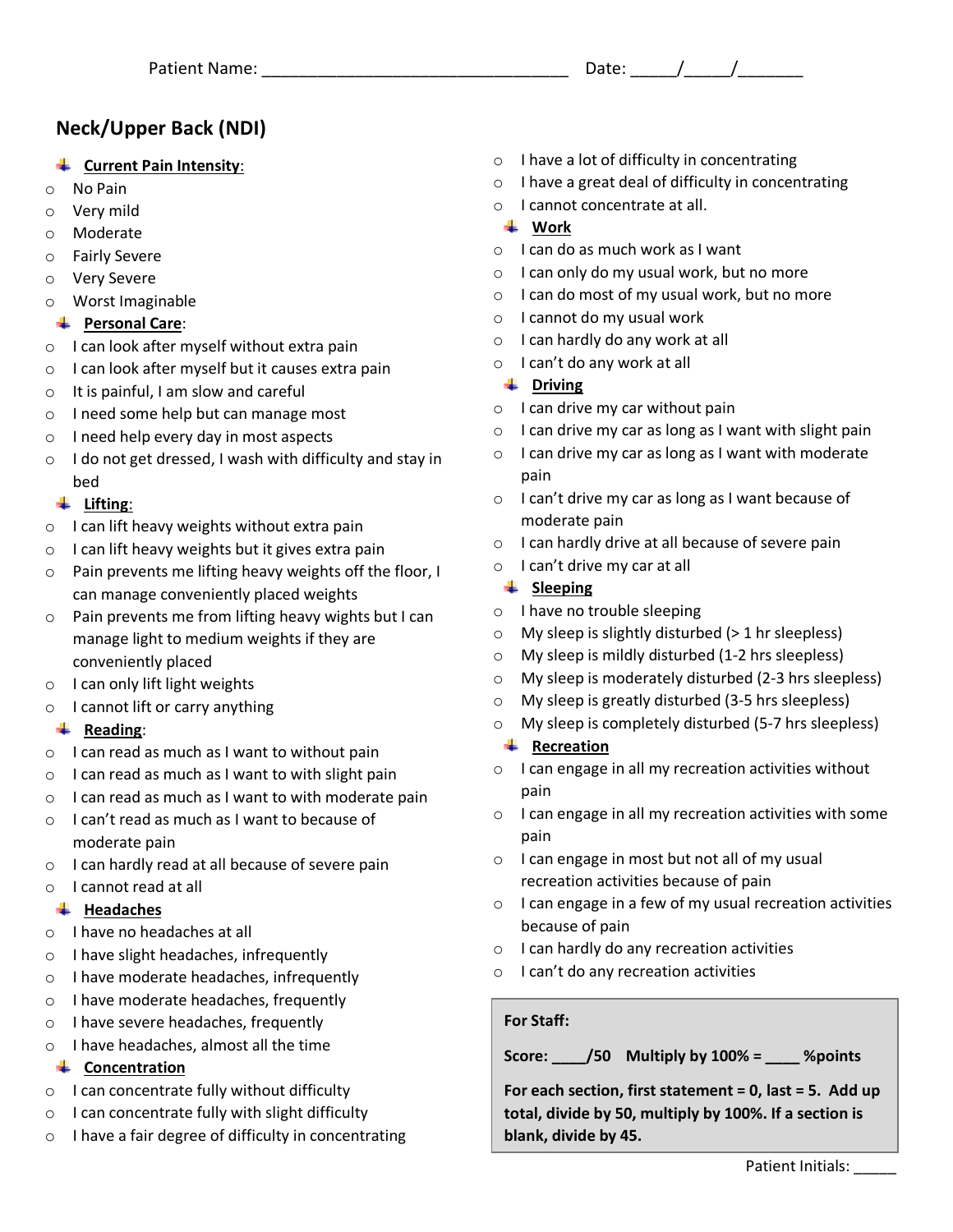# **Neck/Upper Back (NDI)**

# **Current Pain Intensity**:

- o No Pain
- o Very mild
- o Moderate
- o Fairly Severe
- o Very Severe
- o Worst Imaginable

#### **Personal Care**:

- o I can look after myself without extra pain
- o I can look after myself but it causes extra pain
- o It is painful, I am slow and careful
- o I need some help but can manage most
- o I need help every day in most aspects
- o I do not get dressed, I wash with difficulty and stay in bed

## **Lifting**:

- o I can lift heavy weights without extra pain
- $\circ$  I can lift heavy weights but it gives extra pain
- o Pain prevents me lifting heavy weights off the floor, I can manage conveniently placed weights
- o Pain prevents me from lifting heavy wights but I can manage light to medium weights if they are conveniently placed
- o I can only lift light weights
- o I cannot lift or carry anything

#### **Reading**:

- $\circ$  I can read as much as I want to without pain
- $\circ$  I can read as much as I want to with slight pain
- o I can read as much as I want to with moderate pain
- o I can't read as much as I want to because of moderate pain
- o I can hardly read at all because of severe pain
- o I cannot read at all

#### **Headaches**

- o I have no headaches at all
- o I have slight headaches, infrequently
- o I have moderate headaches, infrequently
- o I have moderate headaches, frequently
- o I have severe headaches, frequently
- o I have headaches, almost all the time

#### **← Concentration**

- o I can concentrate fully without difficulty
- o I can concentrate fully with slight difficulty
- o I have a fair degree of difficulty in concentrating
- $\circ$  I have a lot of difficulty in concentrating
- o I have a great deal of difficulty in concentrating
- o I cannot concentrate at all.

## **Work**

- o I can do as much work as I want
- o I can only do my usual work, but no more
- o I can do most of my usual work, but no more
- o I cannot do my usual work
- o I can hardly do any work at all
- o I can't do any work at all

## **↓** Driving

- o I can drive my car without pain
- $\circ$  I can drive my car as long as I want with slight pain
- o I can drive my car as long as I want with moderate pain
- o I can't drive my car as long as I want because of moderate pain
- o I can hardly drive at all because of severe pain
- o I can't drive my car at all

## $\frac{1}{2}$  Sleeping

- o I have no trouble sleeping
- $\circ$  My sleep is slightly disturbed (> 1 hr sleepless)
- o My sleep is mildly disturbed (1-2 hrs sleepless)
- o My sleep is moderately disturbed (2-3 hrs sleepless)
- o My sleep is greatly disturbed (3-5 hrs sleepless)
- o My sleep is completely disturbed (5-7 hrs sleepless)
- **Recreation**
- o I can engage in all my recreation activities without pain
- o I can engage in all my recreation activities with some pain
- $\circ$  I can engage in most but not all of my usual recreation activities because of pain
- $\circ$  I can engage in a few of my usual recreation activities because of pain
- o I can hardly do any recreation activities
- $\circ$  I can't do any recreation activities

#### **For Staff:**

**Score: \_\_\_\_/50 Multiply by 100% = \_\_\_\_ %points**

**For each section, first statement = 0, last = 5. Add up total, divide by 50, multiply by 100%. If a section is blank, divide by 45.**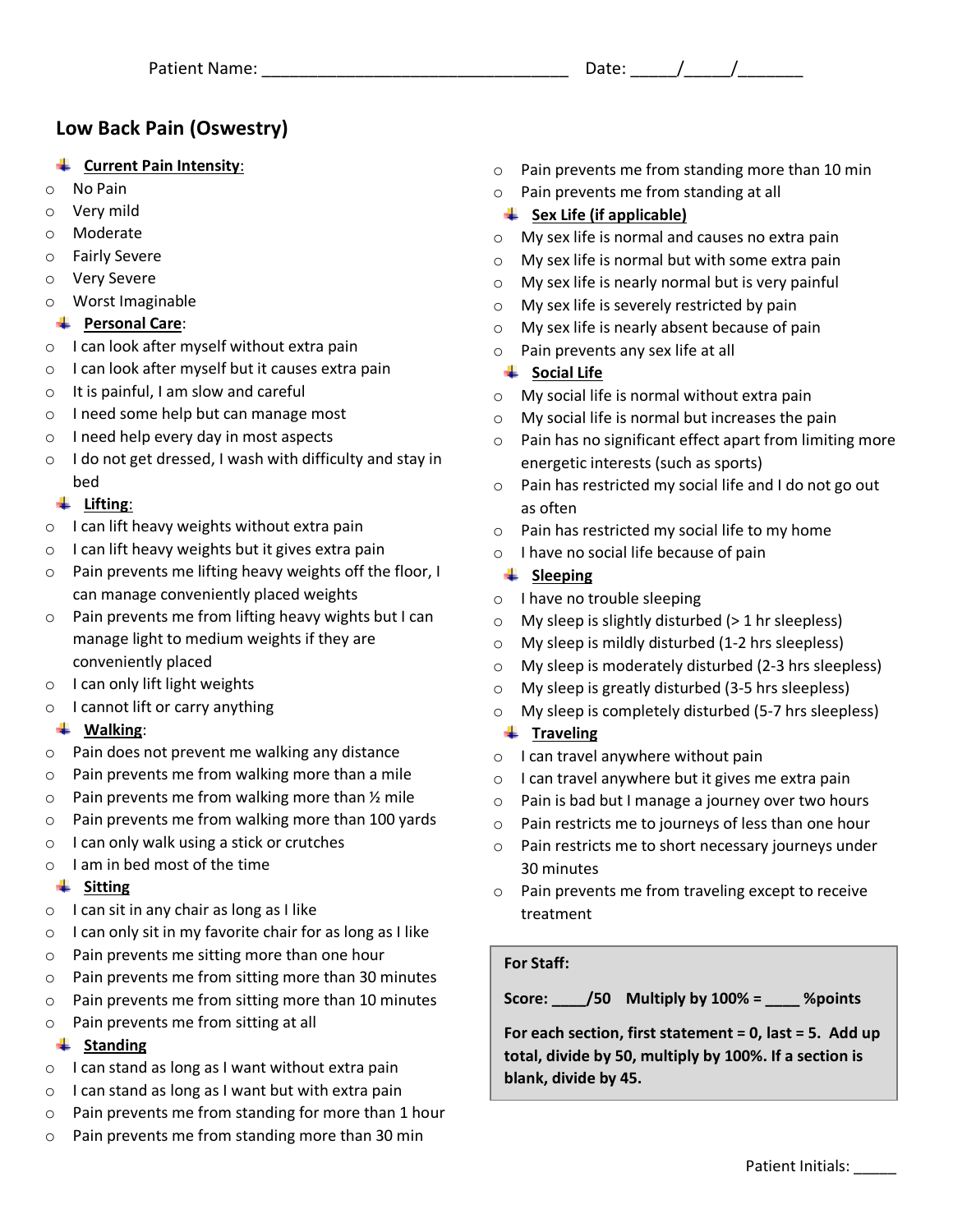# Patient Name: The Contract of the Contract of the Date:  $\frac{1}{2}$  /

# **Low Back Pain (Oswestry)**

#### **Current Pain Intensity**:

- o No Pain
- o Very mild
- o Moderate
- o Fairly Severe
- o Very Severe
- o Worst Imaginable

#### **Personal Care**:

- o I can look after myself without extra pain
- o I can look after myself but it causes extra pain
- o It is painful, I am slow and careful
- o I need some help but can manage most
- o I need help every day in most aspects
- o I do not get dressed, I wash with difficulty and stay in bed

## **Lifting**:

- o I can lift heavy weights without extra pain
- $\circ$  I can lift heavy weights but it gives extra pain
- o Pain prevents me lifting heavy weights off the floor, I can manage conveniently placed weights
- o Pain prevents me from lifting heavy wights but I can manage light to medium weights if they are conveniently placed
- o I can only lift light weights
- o I cannot lift or carry anything

#### **Walking**:

- o Pain does not prevent me walking any distance
- o Pain prevents me from walking more than a mile
- $\circ$  Pain prevents me from walking more than  $\frac{1}{2}$  mile
- o Pain prevents me from walking more than 100 yards
- o I can only walk using a stick or crutches
- o I am in bed most of the time

#### **Sitting**

- $\circ$  I can sit in any chair as long as I like
- o I can only sit in my favorite chair for as long as I like
- o Pain prevents me sitting more than one hour
- o Pain prevents me from sitting more than 30 minutes
- o Pain prevents me from sitting more than 10 minutes
- o Pain prevents me from sitting at all

#### **↓** Standing

- o I can stand as long as I want without extra pain
- $\circ$  I can stand as long as I want but with extra pain
- o Pain prevents me from standing for more than 1 hour
- o Pain prevents me from standing more than 30 min
- o Pain prevents me from standing more than 10 min
- o Pain prevents me from standing at all
- $\frac{4}{1}$  Sex Life (if applicable)
- o My sex life is normal and causes no extra pain
- o My sex life is normal but with some extra pain
- o My sex life is nearly normal but is very painful
- o My sex life is severely restricted by pain
- o My sex life is nearly absent because of pain
- o Pain prevents any sex life at all

#### **↓** Social Life

- o My social life is normal without extra pain
- o My social life is normal but increases the pain
- o Pain has no significant effect apart from limiting more energetic interests (such as sports)
- o Pain has restricted my social life and I do not go out as often
- o Pain has restricted my social life to my home
- o I have no social life because of pain

#### **Example 1** Sleeping

- o I have no trouble sleeping
- $\circ$  My sleep is slightly disturbed (> 1 hr sleepless)
- o My sleep is mildly disturbed (1-2 hrs sleepless)
- o My sleep is moderately disturbed (2-3 hrs sleepless)
- o My sleep is greatly disturbed (3-5 hrs sleepless)
- o My sleep is completely disturbed (5-7 hrs sleepless)

#### **Traveling**

- o I can travel anywhere without pain
- o I can travel anywhere but it gives me extra pain
- o Pain is bad but I manage a journey over two hours
- o Pain restricts me to journeys of less than one hour
- o Pain restricts me to short necessary journeys under 30 minutes
- o Pain prevents me from traveling except to receive treatment

#### **For Staff:**

**Score: \_\_\_\_/50 Multiply by 100% = \_\_\_\_ %points**

**For each section, first statement = 0, last = 5. Add up total, divide by 50, multiply by 100%. If a section is blank, divide by 45.**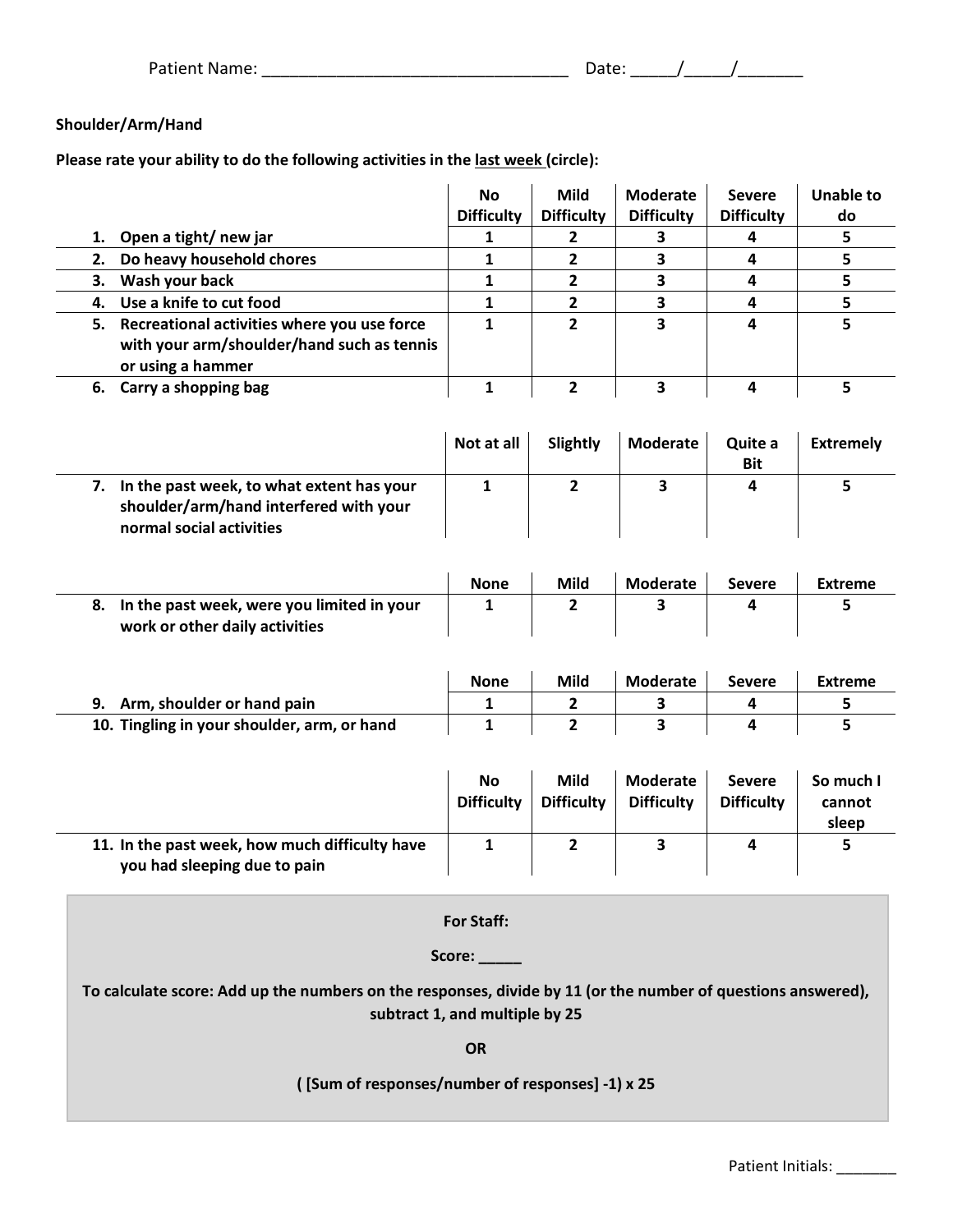| <b>Patient Name:</b> | Jate: |  |
|----------------------|-------|--|
|                      |       |  |

# **Shoulder/Arm/Hand**

**Please rate your ability to do the following activities in the last week (circle):**

|                                                                                                              |                                                                                                                                                             | <b>Difficulty</b>                                                                     | <b>Difficulty</b>                                                                      | <b>Difficulty</b>                                                                                                  | <b>Difficulty</b>                                 | do                                     |
|--------------------------------------------------------------------------------------------------------------|-------------------------------------------------------------------------------------------------------------------------------------------------------------|---------------------------------------------------------------------------------------|----------------------------------------------------------------------------------------|--------------------------------------------------------------------------------------------------------------------|---------------------------------------------------|----------------------------------------|
| 1.                                                                                                           | Open a tight/ new jar                                                                                                                                       | 1                                                                                     | $\overline{\mathbf{2}}$                                                                | 3                                                                                                                  | 4                                                 | 5                                      |
| 2.                                                                                                           | Do heavy household chores                                                                                                                                   | $\mathbf{1}$                                                                          | $\overline{2}$                                                                         | 3                                                                                                                  | 4                                                 | 5                                      |
| 3.                                                                                                           | Wash your back                                                                                                                                              | $\mathbf{1}$                                                                          | $\mathbf{2}$                                                                           | 3                                                                                                                  | 4                                                 | 5                                      |
| 4.                                                                                                           | Use a knife to cut food                                                                                                                                     | 1                                                                                     | $\mathbf{2}$                                                                           | 3                                                                                                                  | 4                                                 | 5                                      |
|                                                                                                              | 5. Recreational activities where you use force                                                                                                              | $\mathbf{1}$                                                                          | $\overline{2}$                                                                         | $\overline{\mathbf{3}}$                                                                                            | 4                                                 | 5                                      |
|                                                                                                              | with your arm/shoulder/hand such as tennis                                                                                                                  |                                                                                       |                                                                                        |                                                                                                                    |                                                   |                                        |
|                                                                                                              | or using a hammer                                                                                                                                           |                                                                                       |                                                                                        |                                                                                                                    |                                                   |                                        |
|                                                                                                              | 6. Carry a shopping bag                                                                                                                                     | $\mathbf{1}$                                                                          | $\overline{2}$                                                                         | 3                                                                                                                  | 4                                                 | 5                                      |
|                                                                                                              |                                                                                                                                                             |                                                                                       |                                                                                        |                                                                                                                    |                                                   |                                        |
|                                                                                                              |                                                                                                                                                             | Not at all                                                                            | Slightly                                                                               | <b>Moderate</b>                                                                                                    | Quite a                                           | <b>Extremely</b>                       |
|                                                                                                              |                                                                                                                                                             |                                                                                       |                                                                                        |                                                                                                                    | <b>Bit</b>                                        |                                        |
|                                                                                                              | 7. In the past week, to what extent has your                                                                                                                | $\mathbf{1}$                                                                          | $\mathbf{2}$                                                                           | $\overline{\mathbf{3}}$                                                                                            | 4                                                 | 5                                      |
|                                                                                                              | shoulder/arm/hand interfered with your                                                                                                                      |                                                                                       |                                                                                        |                                                                                                                    |                                                   |                                        |
|                                                                                                              | normal social activities                                                                                                                                    |                                                                                       |                                                                                        |                                                                                                                    |                                                   |                                        |
|                                                                                                              |                                                                                                                                                             |                                                                                       |                                                                                        |                                                                                                                    |                                                   |                                        |
|                                                                                                              |                                                                                                                                                             | <b>None</b>                                                                           | Mild                                                                                   | <b>Moderate</b>                                                                                                    | <b>Severe</b>                                     | <b>Extreme</b>                         |
| 8.                                                                                                           | In the past week, were you limited in your                                                                                                                  | $\mathbf{1}$                                                                          | $\overline{2}$                                                                         | 3                                                                                                                  | 4                                                 | 5                                      |
|                                                                                                              | work or other daily activities                                                                                                                              |                                                                                       |                                                                                        |                                                                                                                    |                                                   |                                        |
|                                                                                                              |                                                                                                                                                             |                                                                                       |                                                                                        |                                                                                                                    |                                                   |                                        |
|                                                                                                              |                                                                                                                                                             |                                                                                       |                                                                                        |                                                                                                                    |                                                   |                                        |
|                                                                                                              |                                                                                                                                                             |                                                                                       |                                                                                        |                                                                                                                    |                                                   |                                        |
|                                                                                                              |                                                                                                                                                             |                                                                                       |                                                                                        |                                                                                                                    |                                                   |                                        |
|                                                                                                              |                                                                                                                                                             |                                                                                       |                                                                                        |                                                                                                                    |                                                   |                                        |
|                                                                                                              |                                                                                                                                                             |                                                                                       |                                                                                        |                                                                                                                    |                                                   |                                        |
|                                                                                                              |                                                                                                                                                             | <b>No</b>                                                                             |                                                                                        |                                                                                                                    | <b>Severe</b>                                     | So much I                              |
|                                                                                                              |                                                                                                                                                             |                                                                                       |                                                                                        |                                                                                                                    |                                                   | cannot                                 |
|                                                                                                              |                                                                                                                                                             |                                                                                       |                                                                                        |                                                                                                                    |                                                   |                                        |
|                                                                                                              |                                                                                                                                                             |                                                                                       |                                                                                        |                                                                                                                    |                                                   |                                        |
|                                                                                                              |                                                                                                                                                             |                                                                                       |                                                                                        |                                                                                                                    |                                                   |                                        |
|                                                                                                              |                                                                                                                                                             |                                                                                       |                                                                                        |                                                                                                                    |                                                   |                                        |
| <b>For Staff:</b>                                                                                            |                                                                                                                                                             |                                                                                       |                                                                                        |                                                                                                                    |                                                   |                                        |
|                                                                                                              |                                                                                                                                                             |                                                                                       |                                                                                        |                                                                                                                    |                                                   |                                        |
|                                                                                                              |                                                                                                                                                             |                                                                                       |                                                                                        |                                                                                                                    |                                                   |                                        |
| To calculate score: Add up the numbers on the responses, divide by 11 (or the number of questions answered), |                                                                                                                                                             |                                                                                       |                                                                                        |                                                                                                                    |                                                   |                                        |
| subtract 1, and multiple by 25                                                                               |                                                                                                                                                             |                                                                                       |                                                                                        |                                                                                                                    |                                                   |                                        |
|                                                                                                              |                                                                                                                                                             |                                                                                       |                                                                                        |                                                                                                                    |                                                   |                                        |
|                                                                                                              |                                                                                                                                                             |                                                                                       |                                                                                        |                                                                                                                    |                                                   |                                        |
|                                                                                                              |                                                                                                                                                             |                                                                                       |                                                                                        |                                                                                                                    |                                                   |                                        |
|                                                                                                              | ([Sum of responses/number of responses] -1) x 25                                                                                                            |                                                                                       |                                                                                        |                                                                                                                    |                                                   |                                        |
| 9.                                                                                                           | Arm, shoulder or hand pain<br>10. Tingling in your shoulder, arm, or hand<br>11. In the past week, how much difficulty have<br>you had sleeping due to pain | <b>None</b><br>1<br>$\mathbf{1}$<br><b>Difficulty</b><br>$\mathbf{1}$<br>Score:<br>OR | <b>Mild</b><br>2<br>$\overline{2}$<br><b>Mild</b><br><b>Difficulty</b><br>$\mathbf{2}$ | <b>Moderate</b><br>3<br>$\overline{\mathbf{3}}$<br><b>Moderate</b><br><b>Difficulty</b><br>$\overline{\mathbf{3}}$ | <b>Severe</b><br>4<br>4<br><b>Difficulty</b><br>4 | <b>Extreme</b><br>5<br>5<br>sleep<br>5 |